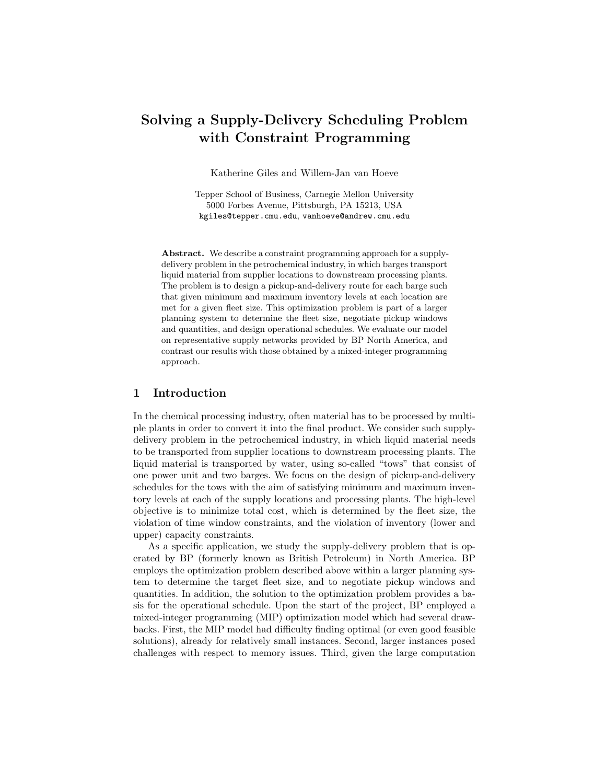# Solving a Supply-Delivery Scheduling Problem with Constraint Programming

Katherine Giles and Willem-Jan van Hoeve

Tepper School of Business, Carnegie Mellon University 5000 Forbes Avenue, Pittsburgh, PA 15213, USA kgiles@tepper.cmu.edu, vanhoeve@andrew.cmu.edu

Abstract. We describe a constraint programming approach for a supplydelivery problem in the petrochemical industry, in which barges transport liquid material from supplier locations to downstream processing plants. The problem is to design a pickup-and-delivery route for each barge such that given minimum and maximum inventory levels at each location are met for a given fleet size. This optimization problem is part of a larger planning system to determine the fleet size, negotiate pickup windows and quantities, and design operational schedules. We evaluate our model on representative supply networks provided by BP North America, and contrast our results with those obtained by a mixed-integer programming approach.

### 1 Introduction

In the chemical processing industry, often material has to be processed by multiple plants in order to convert it into the final product. We consider such supplydelivery problem in the petrochemical industry, in which liquid material needs to be transported from supplier locations to downstream processing plants. The liquid material is transported by water, using so-called "tows" that consist of one power unit and two barges. We focus on the design of pickup-and-delivery schedules for the tows with the aim of satisfying minimum and maximum inventory levels at each of the supply locations and processing plants. The high-level objective is to minimize total cost, which is determined by the fleet size, the violation of time window constraints, and the violation of inventory (lower and upper) capacity constraints.

As a specific application, we study the supply-delivery problem that is operated by BP (formerly known as British Petroleum) in North America. BP employs the optimization problem described above within a larger planning system to determine the target fleet size, and to negotiate pickup windows and quantities. In addition, the solution to the optimization problem provides a basis for the operational schedule. Upon the start of the project, BP employed a mixed-integer programming (MIP) optimization model which had several drawbacks. First, the MIP model had difficulty finding optimal (or even good feasible solutions), already for relatively small instances. Second, larger instances posed challenges with respect to memory issues. Third, given the large computation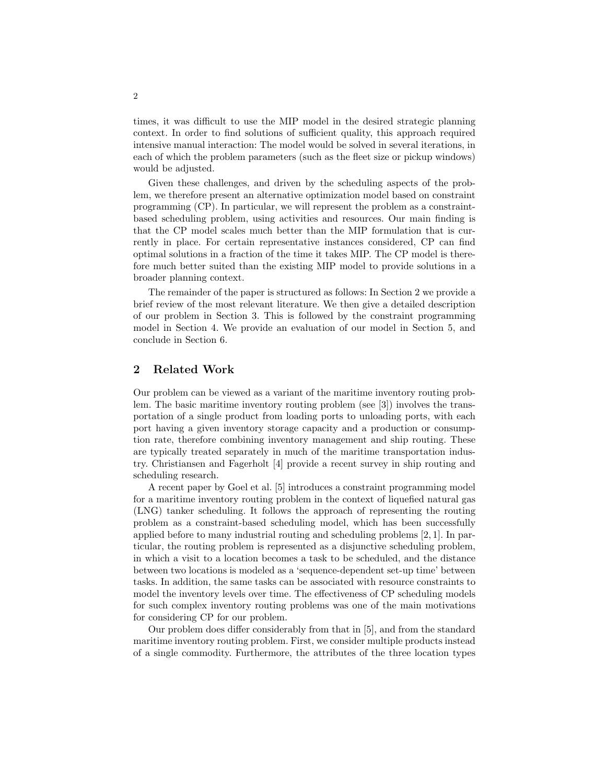times, it was difficult to use the MIP model in the desired strategic planning context. In order to find solutions of sufficient quality, this approach required intensive manual interaction: The model would be solved in several iterations, in each of which the problem parameters (such as the fleet size or pickup windows) would be adjusted.

Given these challenges, and driven by the scheduling aspects of the problem, we therefore present an alternative optimization model based on constraint programming (CP). In particular, we will represent the problem as a constraintbased scheduling problem, using activities and resources. Our main finding is that the CP model scales much better than the MIP formulation that is currently in place. For certain representative instances considered, CP can find optimal solutions in a fraction of the time it takes MIP. The CP model is therefore much better suited than the existing MIP model to provide solutions in a broader planning context.

The remainder of the paper is structured as follows: In Section 2 we provide a brief review of the most relevant literature. We then give a detailed description of our problem in Section 3. This is followed by the constraint programming model in Section 4. We provide an evaluation of our model in Section 5, and conclude in Section 6.

# 2 Related Work

Our problem can be viewed as a variant of the maritime inventory routing problem. The basic maritime inventory routing problem (see [3]) involves the transportation of a single product from loading ports to unloading ports, with each port having a given inventory storage capacity and a production or consumption rate, therefore combining inventory management and ship routing. These are typically treated separately in much of the maritime transportation industry. Christiansen and Fagerholt [4] provide a recent survey in ship routing and scheduling research.

A recent paper by Goel et al. [5] introduces a constraint programming model for a maritime inventory routing problem in the context of liquefied natural gas (LNG) tanker scheduling. It follows the approach of representing the routing problem as a constraint-based scheduling model, which has been successfully applied before to many industrial routing and scheduling problems [2, 1]. In particular, the routing problem is represented as a disjunctive scheduling problem, in which a visit to a location becomes a task to be scheduled, and the distance between two locations is modeled as a 'sequence-dependent set-up time' between tasks. In addition, the same tasks can be associated with resource constraints to model the inventory levels over time. The effectiveness of CP scheduling models for such complex inventory routing problems was one of the main motivations for considering CP for our problem.

Our problem does differ considerably from that in [5], and from the standard maritime inventory routing problem. First, we consider multiple products instead of a single commodity. Furthermore, the attributes of the three location types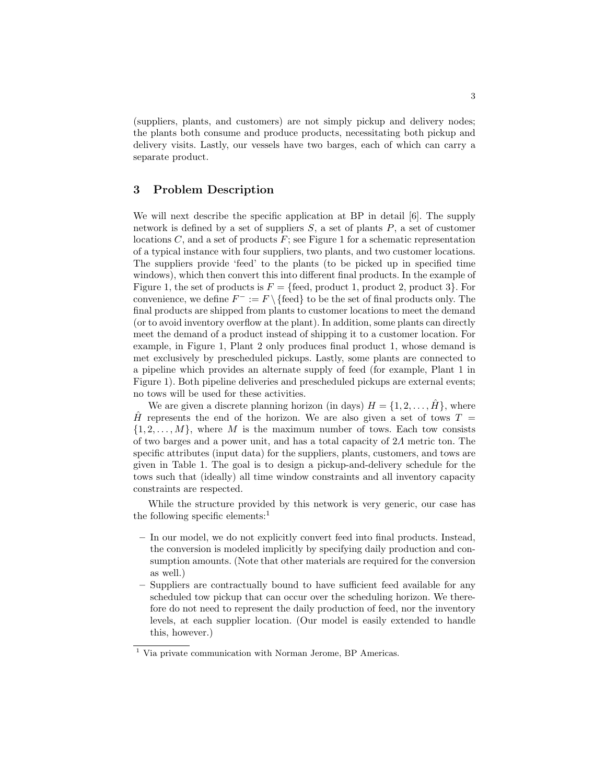(suppliers, plants, and customers) are not simply pickup and delivery nodes; the plants both consume and produce products, necessitating both pickup and delivery visits. Lastly, our vessels have two barges, each of which can carry a separate product.

## 3 Problem Description

We will next describe the specific application at BP in detail [6]. The supply network is defined by a set of suppliers  $S$ , a set of plants  $P$ , a set of customer locations  $C$ , and a set of products  $F$ ; see Figure 1 for a schematic representation of a typical instance with four suppliers, two plants, and two customer locations. The suppliers provide 'feed' to the plants (to be picked up in specified time windows), which then convert this into different final products. In the example of Figure 1, the set of products is  $F = \{ \text{feed}, \text{product } 1, \text{product } 2, \text{product } 3 \}.$  For convenience, we define  $F^- := F \setminus {\text{feed}}$  to be the set of final products only. The final products are shipped from plants to customer locations to meet the demand (or to avoid inventory overflow at the plant). In addition, some plants can directly meet the demand of a product instead of shipping it to a customer location. For example, in Figure 1, Plant 2 only produces final product 1, whose demand is met exclusively by prescheduled pickups. Lastly, some plants are connected to a pipeline which provides an alternate supply of feed (for example, Plant 1 in Figure 1). Both pipeline deliveries and prescheduled pickups are external events; no tows will be used for these activities.

We are given a discrete planning horizon (in days)  $H = \{1, 2, \ldots, \hat{H}\}\,$ , where H represents the end of the horizon. We are also given a set of tows  $T =$  $\{1, 2, \ldots, M\}$ , where M is the maximum number of tows. Each tow consists of two barges and a power unit, and has a total capacity of  $2\Lambda$  metric ton. The specific attributes (input data) for the suppliers, plants, customers, and tows are given in Table 1. The goal is to design a pickup-and-delivery schedule for the tows such that (ideally) all time window constraints and all inventory capacity constraints are respected.

While the structure provided by this network is very generic, our case has the following specific elements: $<sup>1</sup>$ </sup>

- In our model, we do not explicitly convert feed into final products. Instead, the conversion is modeled implicitly by specifying daily production and consumption amounts. (Note that other materials are required for the conversion as well.)
- Suppliers are contractually bound to have sufficient feed available for any scheduled tow pickup that can occur over the scheduling horizon. We therefore do not need to represent the daily production of feed, nor the inventory levels, at each supplier location. (Our model is easily extended to handle this, however.)

<sup>1</sup> Via private communication with Norman Jerome, BP Americas.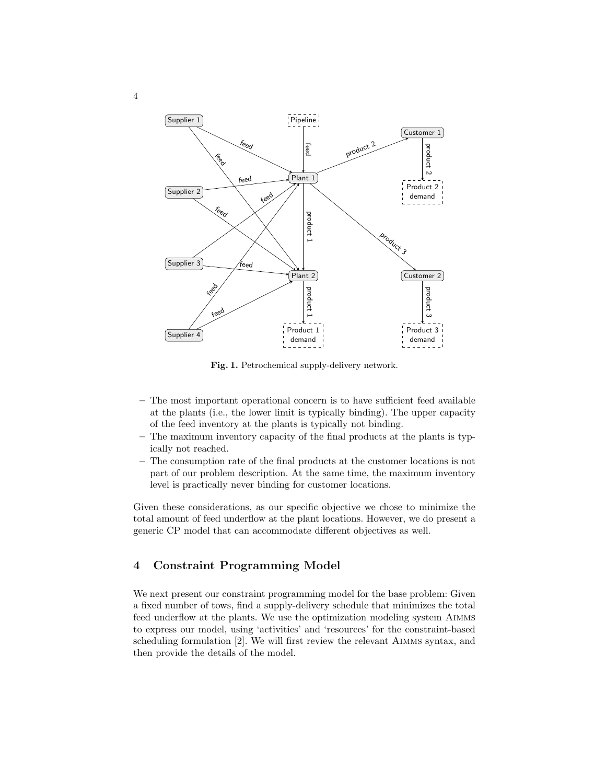

Fig. 1. Petrochemical supply-delivery network.

- The most important operational concern is to have sufficient feed available at the plants (i.e., the lower limit is typically binding). The upper capacity of the feed inventory at the plants is typically not binding.
- The maximum inventory capacity of the final products at the plants is typically not reached.
- The consumption rate of the final products at the customer locations is not part of our problem description. At the same time, the maximum inventory level is practically never binding for customer locations.

Given these considerations, as our specific objective we chose to minimize the total amount of feed underflow at the plant locations. However, we do present a generic CP model that can accommodate different objectives as well.

# 4 Constraint Programming Model

We next present our constraint programming model for the base problem: Given a fixed number of tows, find a supply-delivery schedule that minimizes the total feed underflow at the plants. We use the optimization modeling system Aimms to express our model, using 'activities' and 'resources' for the constraint-based scheduling formulation [2]. We will first review the relevant Aimms syntax, and then provide the details of the model.

4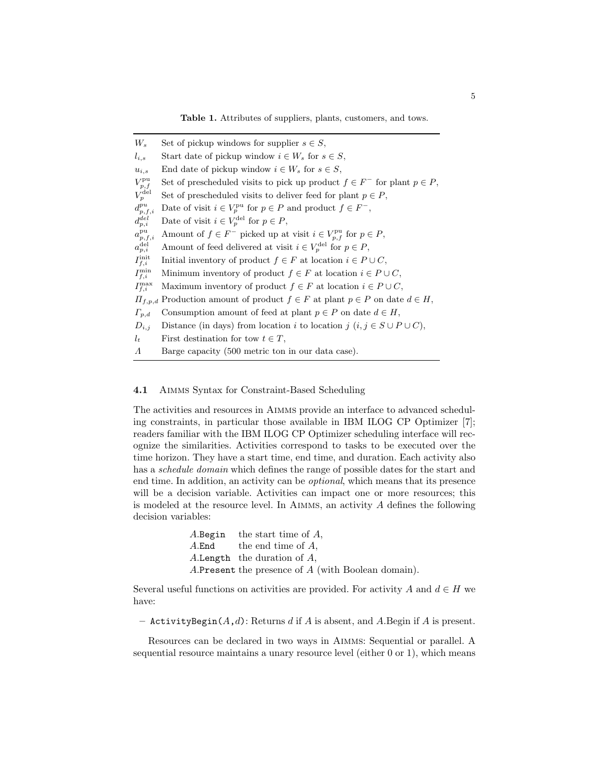Table 1. Attributes of suppliers, plants, customers, and tows.

| $W_{s}$                                            | Set of pickup windows for supplier $s \in S$ ,                                                |
|----------------------------------------------------|-----------------------------------------------------------------------------------------------|
| $l_{i,s}$                                          | Start date of pickup window $i \in W_s$ for $s \in S$ ,                                       |
| $u_{i,s}$                                          | End date of pickup window $i \in W_s$ for $s \in S$ ,                                         |
| $V_{p,f}^{\rm pu} \over V_{p}^{\rm del}$           | Set of prescheduled visits to pick up product $f \in F^-$ for plant $p \in P$ ,               |
|                                                    | Set of prescheduled visits to deliver feed for plant $p \in P$ ,                              |
| $d_{p,f,i}^{pu} \nonumber \\ d_{p,i}^{del}$        | Date of visit $i \in V_p^{\text{pu}}$ for $p \in P$ and product $f \in F^-$ ,                 |
|                                                    | Date of visit $i \in V_p^{\text{del}}$ for $p \in P$ ,                                        |
| $a_{p,f,i}^{\mathrm{pu}}\\ a_{p,i}^{\mathrm{del}}$ | Amount of $f \in F^-$ picked up at visit $i \in V_{n,f}^{\text{pu}}$ for $p \in P$ ,          |
|                                                    | Amount of feed delivered at visit $i \in V_p^{\text{del}}$ for $p \in P$ ,                    |
| $I_{f,i}^{\mathrm{init}}$                          | Initial inventory of product $f \in F$ at location $i \in P \cup C$ ,                         |
| $I_{f,i}^{\min}$                                   | Minimum inventory of product $f \in F$ at location $i \in P \cup C$ ,                         |
| $I_{f,i}^{\max}$                                   | Maximum inventory of product $f \in F$ at location $i \in P \cup C$ ,                         |
| $\Pi_{f,p,d}$                                      | Production amount of product $f \in F$ at plant $p \in P$ on date $d \in H$ ,                 |
| $\Gamma_{p,d}$                                     | Consumption amount of feed at plant $p \in P$ on date $d \in H$ ,                             |
| $D_{i,j}$                                          | Distance (in days) from location <i>i</i> to location <i>j</i> $(i, j \in S \cup P \cup C)$ , |
| $l_t$                                              | First destination for tow $t \in T$ ,                                                         |
| $\varLambda$                                       | Barge capacity (500 metric ton in our data case).                                             |

#### 4.1 Aimms Syntax for Constraint-Based Scheduling

The activities and resources in Aimms provide an interface to advanced scheduling constraints, in particular those available in IBM ILOG CP Optimizer [7]; readers familiar with the IBM ILOG CP Optimizer scheduling interface will recognize the similarities. Activities correspond to tasks to be executed over the time horizon. They have a start time, end time, and duration. Each activity also has a *schedule domain* which defines the range of possible dates for the start and end time. In addition, an activity can be optional, which means that its presence will be a decision variable. Activities can impact one or more resources; this is modeled at the resource level. In Aimms, an activity A defines the following decision variables:

> A.Begin the start time of A,  $A$ .End the end time of  $A$ , A.Length the duration of A, A.Present the presence of A (with Boolean domain).

Several useful functions on activities are provided. For activity A and  $d \in H$  we have:

– ActivityBegin $(A, d)$ : Returns d if A is absent, and A.Begin if A is present.

Resources can be declared in two ways in Aimms: Sequential or parallel. A sequential resource maintains a unary resource level (either 0 or 1), which means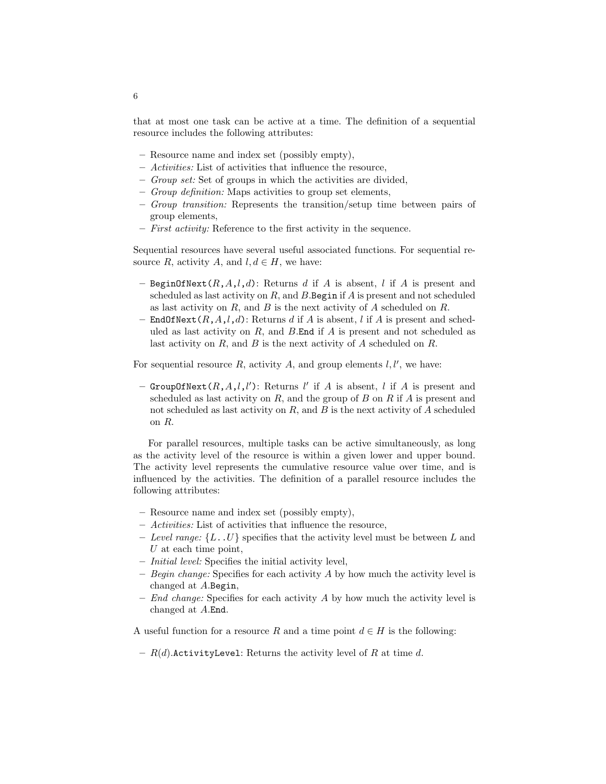that at most one task can be active at a time. The definition of a sequential resource includes the following attributes:

- Resource name and index set (possibly empty),
- Activities: List of activities that influence the resource,
- Group set: Set of groups in which the activities are divided,
- Group definition: Maps activities to group set elements,
- Group transition: Represents the transition/setup time between pairs of group elements,
- First activity: Reference to the first activity in the sequence.

Sequential resources have several useful associated functions. For sequential resource R, activity A, and  $l, d \in H$ , we have:

- BeginOfNext $(R, A, l, d)$ : Returns d if A is absent, l if A is present and scheduled as last activity on  $R$ , and  $B$ . Begin if  $A$  is present and not scheduled as last activity on  $R$ , and  $B$  is the next activity of  $A$  scheduled on  $R$ .
- EndOfNext $(R, A, l, d)$ : Returns d if A is absent, l if A is present and scheduled as last activity on  $R$ , and  $B$ . End if  $A$  is present and not scheduled as last activity on  $R$ , and  $B$  is the next activity of  $A$  scheduled on  $R$ .

For sequential resource  $R$ , activity  $A$ , and group elements  $l, l'$ , we have:

- GroupOfNext $(R, A, l, l')$ : Returns l' if A is absent, l if A is present and scheduled as last activity on R, and the group of B on R if A is present and not scheduled as last activity on  $R$ , and  $B$  is the next activity of  $A$  scheduled on R.

For parallel resources, multiple tasks can be active simultaneously, as long as the activity level of the resource is within a given lower and upper bound. The activity level represents the cumulative resource value over time, and is influenced by the activities. The definition of a parallel resource includes the following attributes:

- Resource name and index set (possibly empty),
- Activities: List of activities that influence the resource,
- Level range:  $\{L \ldots U\}$  specifies that the activity level must be between L and U at each time point,
- Initial level: Specifies the initial activity level,
- Begin change: Specifies for each activity  $A$  by how much the activity level is changed at A.Begin,
- End change: Specifies for each activity A by how much the activity level is changed at A.End.

A useful function for a resource R and a time point  $d \in H$  is the following:

–  $R(d)$ . Activity Level: Returns the activity level of R at time d.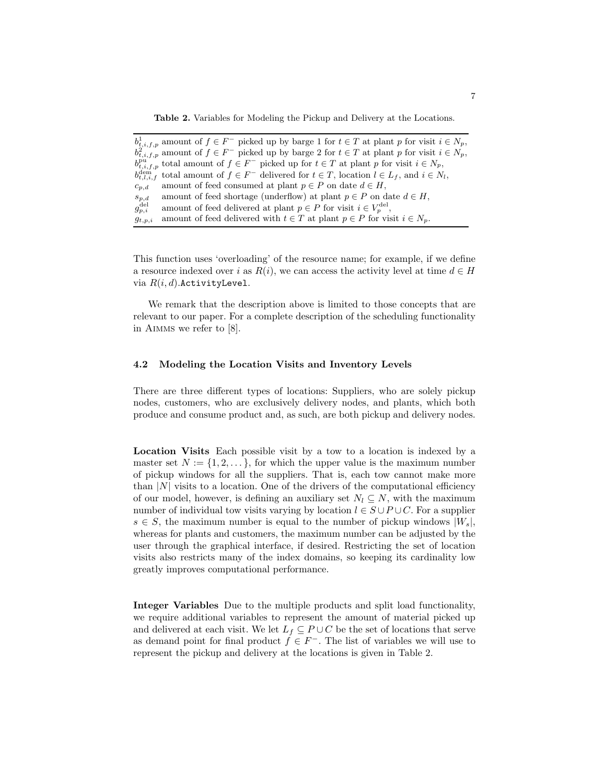Table 2. Variables for Modeling the Pickup and Delivery at the Locations.

|                     | $b_{t,i,f,p}^1$ amount of $f \in F^-$ picked up by barge 1 for $t \in T$ at plant p for visit $i \in N_p$ ,               |
|---------------------|---------------------------------------------------------------------------------------------------------------------------|
|                     | $b_{t,i,f,p}^2$ amount of $f \in F^-$ picked up by barge 2 for $t \in T$ at plant p for visit $i \in N_p$ ,               |
|                     | $b_{t,i,f,p}^{\text{pu}}$ total amount of $f \in F^-$ picked up for $t \in T$ at plant p for visit $i \in N_p$ ,          |
|                     | $b_{t,l,i,f}^{\text{dem}}$ total amount of $f \in F^-$ delivered for $t \in T$ , location $l \in L_f$ , and $i \in N_l$ , |
| $c_{p,d}$           | amount of feed consumed at plant $p \in P$ on date $d \in H$ ,                                                            |
| $s_{p,d}$           | amount of feed shortage (underflow) at plant $p \in P$ on date $d \in H$ ,                                                |
| $g_{p,i}^{\rm del}$ | amount of feed delivered at plant $p \in P$ for visit $i \in V_p^{\text{del}}$ ,                                          |
| $g_{t,p,i}$         | amount of feed delivered with $t \in T$ at plant $p \in P$ for visit $i \in N_p$ .                                        |

This function uses 'overloading' of the resource name; for example, if we define a resource indexed over i as  $R(i)$ , we can access the activity level at time  $d \in H$ via  $R(i, d)$ . Activity Level.

We remark that the description above is limited to those concepts that are relevant to our paper. For a complete description of the scheduling functionality in Aimms we refer to [8].

#### 4.2 Modeling the Location Visits and Inventory Levels

There are three different types of locations: Suppliers, who are solely pickup nodes, customers, who are exclusively delivery nodes, and plants, which both produce and consume product and, as such, are both pickup and delivery nodes.

Location Visits Each possible visit by a tow to a location is indexed by a master set  $N := \{1, 2, \dots\}$ , for which the upper value is the maximum number of pickup windows for all the suppliers. That is, each tow cannot make more than  $|N|$  visits to a location. One of the drivers of the computational efficiency of our model, however, is defining an auxiliary set  $N_l \subseteq N$ , with the maximum number of individual tow visits varying by location  $l \in S \cup P \cup C$ . For a supplier  $s \in S$ , the maximum number is equal to the number of pickup windows  $|W_s|$ , whereas for plants and customers, the maximum number can be adjusted by the user through the graphical interface, if desired. Restricting the set of location visits also restricts many of the index domains, so keeping its cardinality low greatly improves computational performance.

Integer Variables Due to the multiple products and split load functionality, we require additional variables to represent the amount of material picked up and delivered at each visit. We let  $L_f \subseteq P \cup C$  be the set of locations that serve as demand point for final product  $f \in F^-$ . The list of variables we will use to represent the pickup and delivery at the locations is given in Table 2.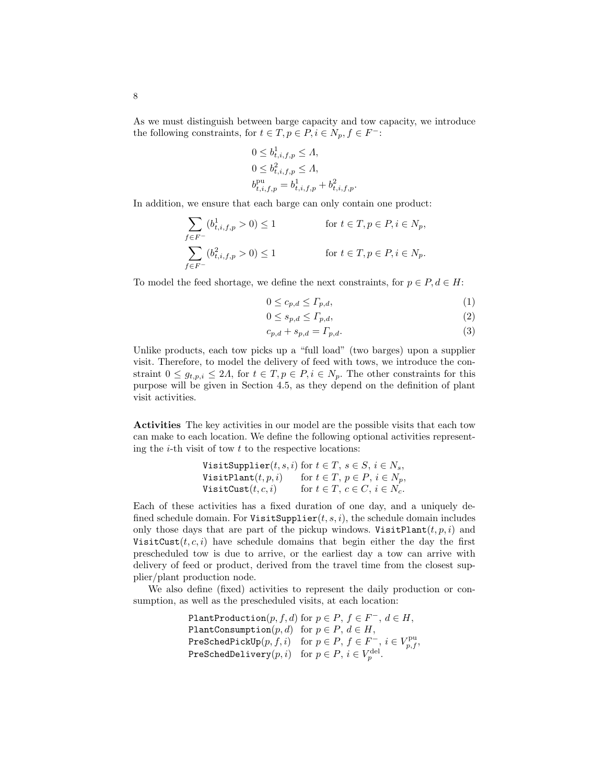As we must distinguish between barge capacity and tow capacity, we introduce the following constraints, for  $t \in T$ ,  $p \in P$ ,  $i \in N_p$ ,  $f \in F^-$ :

$$
0 \le b_{t,i,f,p}^1 \le \Lambda,
$$
  
\n
$$
0 \le b_{t,i,f,p}^2 \le \Lambda,
$$
  
\n
$$
b_{t,i,f,p}^{\text{pu}} = b_{t,i,f,p}^1 + b_{t,i,f,p}^2.
$$

In addition, we ensure that each barge can only contain one product:

$$
\sum_{f \in F^-} (b_{t,i,f,p}^1 > 0) \le 1 \qquad \text{for } t \in T, p \in P, i \in N_p,
$$
  

$$
\sum_{f \in F^-} (b_{t,i,f,p}^2 > 0) \le 1 \qquad \text{for } t \in T, p \in P, i \in N_p.
$$

To model the feed shortage, we define the next constraints, for  $p \in P, d \in H$ :

$$
0 \le c_{p,d} \le \Gamma_{p,d},\tag{1}
$$

$$
0 \le s_{p,d} \le \Gamma_{p,d},\tag{2}
$$

$$
c_{p,d} + s_{p,d} = \Gamma_{p,d}.\tag{3}
$$

Unlike products, each tow picks up a "full load" (two barges) upon a supplier visit. Therefore, to model the delivery of feed with tows, we introduce the constraint  $0 \leq g_{t,p,i} \leq 2\Lambda$ , for  $t \in T, p \in P, i \in N_p$ . The other constraints for this purpose will be given in Section 4.5, as they depend on the definition of plant visit activities.

Activities The key activities in our model are the possible visits that each tow can make to each location. We define the following optional activities representing the *i*-th visit of tow  $t$  to the respective locations:

$$
\begin{array}{ll}\n\text{VisitSupplier}(t, s, i) \text{ for } t \in T, \, s \in S, \, i \in N_s, \\
\text{VisitPlant}(t, p, i) \quad \text{ for } t \in T, \, p \in P, \, i \in N_p, \\
\text{VisitCust}(t, c, i) \quad \text{ for } t \in T, \, c \in C, \, i \in N_c.\n\end{array}
$$

Each of these activities has a fixed duration of one day, and a uniquely defined schedule domain. For VisitSupplier $(t, s, i)$ , the schedule domain includes only those days that are part of the pickup windows. VisitPlant $(t, p, i)$  and VisitCust $(t, c, i)$  have schedule domains that begin either the day the first prescheduled tow is due to arrive, or the earliest day a tow can arrive with delivery of feed or product, derived from the travel time from the closest supplier/plant production node.

We also define (fixed) activities to represent the daily production or consumption, as well as the prescheduled visits, at each location:

$$
\begin{array}{ll}\texttt{PlantProduction}(p, f, d) \text{ for } p \in P, f \in F^-, d \in H, \\ \texttt{PlantConsumption}(p, d) \text{ for } p \in P, d \in H, \\ \texttt{PreschedPickUp}(p, f, i) \text{ for } p \in P, f \in F^-, i \in V_{p, f}^{\text{pu}}, \\ \texttt{PreschedDelay}(p, i) \text{ for } p \in P, i \in V_p^{\text{del}}.\end{array}
$$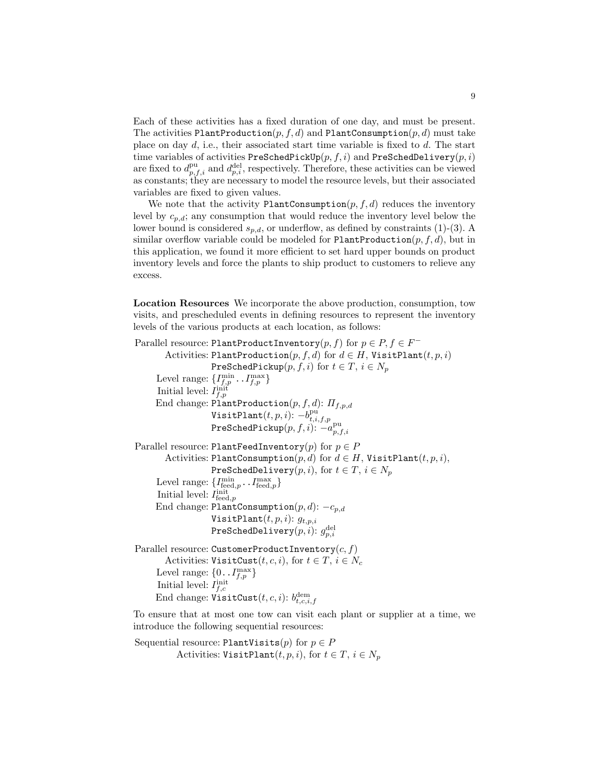Each of these activities has a fixed duration of one day, and must be present. The activities PlantProduction $(p, f, d)$  and PlantConsumption $(p, d)$  must take place on day  $d$ , i.e., their associated start time variable is fixed to  $d$ . The start time variables of activities PreSchedPickUp $(p, f, i)$  and PreSchedDelivery $(p, i)$ are fixed to  $d_{p,f,i}^{\text{pu}}$  and  $d_{p,i}^{\text{del}}$ , respectively. Therefore, these activities can be viewed as constants; they are necessary to model the resource levels, but their associated variables are fixed to given values.

We note that the activity PlantConsumption $(p, f, d)$  reduces the inventory level by  $c_{p,d}$ ; any consumption that would reduce the inventory level below the lower bound is considered  $s_{p,d}$ , or underflow, as defined by constraints (1)-(3). A similar overflow variable could be modeled for PlantProduction $(p, f, d)$ , but in this application, we found it more efficient to set hard upper bounds on product inventory levels and force the plants to ship product to customers to relieve any excess.

Location Resources We incorporate the above production, consumption, tow visits, and prescheduled events in defining resources to represent the inventory levels of the various products at each location, as follows:

```
Parallel resource: PlantProductInventory(p, f) for p \in P, f \in F^-Activities: PlantProduction(p, f, d) for d \in H, VisitPlant(t, p, i)
                          PreSchedPickup(p, f, i) for t \in T, i \in N_pLevel range: \{I_{f,p}^{\min} \dots I_{f,p}^{\max}\}\Initial level: I_{f,p}^{\text{init}}End change: <code>PlantProduction</code>(p, f, d): \Pi_{f, p, d}\texttt{VisitPlant}(t, p, i): \begin{align} -b_{t, i, f, p}^{\text{pu}}\ \texttt{PreSchedPickup}(p, f, i): \begin{align} -a_{p, f, i}^{\text{pu}}\ \end{align}Parallel resource: PlantFeedInventory(p) for p \in PActivities: PlantConsumption(p, d) for d \in H, VisitPlant(t, p, i),
                          PreSchedDelivery(p, i), for t \in T, i \in N_pLevel range: \{I_{\text{feed}, p}^{\min} \dots I_{\text{feed}, p}^{\max}\}Initial level: I_{\text{feed}, p}^{\text{init}}End change: PlantConsumption(p, d): -c_{p, d}VisitPlant(t,p,i): g_{t,p,i}\texttt{PreSchedDelivery}(p, i) \text{: } g_{p, i}^{\text{del}}Parallel resource: CustomerProductInventory(c, f)Activities: VisitCust(t, c, i), for t \in T, i \in N_cLevel range: \{0..I_{f,p}^{\max}\}\Initial level: I_{f,c}^{\text{init}}End change: \texttt{VisitCust}(t, c, i): b_{t, c, i, f}^{\text{dem}}
```
To ensure that at most one tow can visit each plant or supplier at a time, we introduce the following sequential resources:

Sequential resource: PlantVisits(p) for  $p \in P$ Activities: VisitPlant $(t, p, i)$ , for  $t \in T$ ,  $i \in N_p$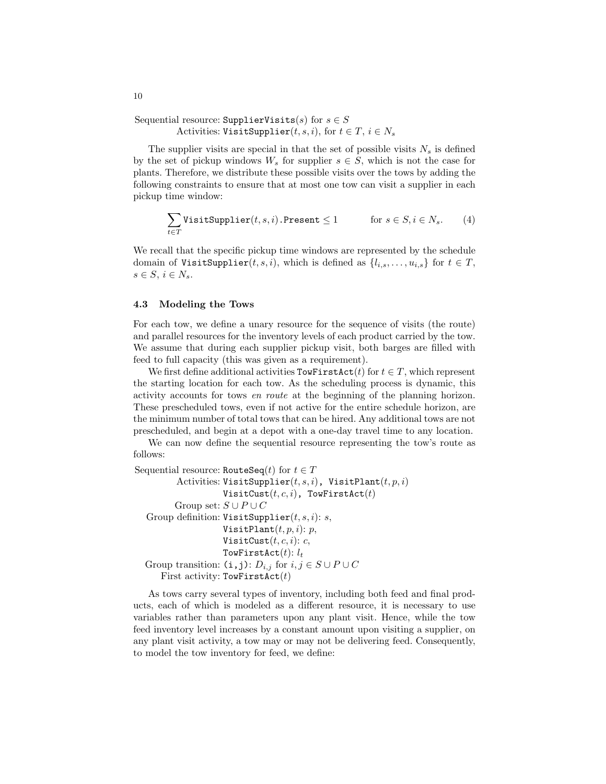Sequential resource: SupplierVisits(s) for  $s \in S$ Activities: VisitSupplier $(t, s, i)$ , for  $t \in T$ ,  $i \in N_s$ 

The supplier visits are special in that the set of possible visits  $N_s$  is defined by the set of pickup windows  $W_s$  for supplier  $s \in S$ , which is not the case for plants. Therefore, we distribute these possible visits over the tows by adding the following constraints to ensure that at most one tow can visit a supplier in each pickup time window:

$$
\sum_{t \in T} \text{VisitSupplier}(t, s, i). \text{Present} \le 1 \qquad \text{for } s \in S, i \in N_s. \tag{4}
$$

We recall that the specific pickup time windows are represented by the schedule domain of VisitSupplier $(t, s, i)$ , which is defined as  $\{l_{i,s}, \ldots, u_{i,s}\}\$  for  $t \in T$ ,  $s \in S, \, i \in N_s.$ 

#### 4.3 Modeling the Tows

For each tow, we define a unary resource for the sequence of visits (the route) and parallel resources for the inventory levels of each product carried by the tow. We assume that during each supplier pickup visit, both barges are filled with feed to full capacity (this was given as a requirement).

We first define additional activities  $TowFirstAct(t)$  for  $t \in T$ , which represent the starting location for each tow. As the scheduling process is dynamic, this activity accounts for tows en route at the beginning of the planning horizon. These prescheduled tows, even if not active for the entire schedule horizon, are the minimum number of total tows that can be hired. Any additional tows are not prescheduled, and begin at a depot with a one-day travel time to any location.

We can now define the sequential resource representing the tow's route as follows:

```
Sequential resource: RouteSeq(t) for t \in TActivities: VisitSupplier(t, s, i), VisitPlant(t, p, i)VisitCust(t, c, i), TowFirstAct(t)Group set: S \cup P \cup CGroup definition: VisitSupplier(t, s, i): s,
                     VisitPlant(t, p, i): p,
                     VisitCust(t, c, i): c,
                     TowFirstAct(t): l_tGroup transition: (i,j): D_{i,j} for i, j \in S \cup P \cup CFirst activity: TowFirstAct(t)
```
As tows carry several types of inventory, including both feed and final products, each of which is modeled as a different resource, it is necessary to use variables rather than parameters upon any plant visit. Hence, while the tow feed inventory level increases by a constant amount upon visiting a supplier, on any plant visit activity, a tow may or may not be delivering feed. Consequently, to model the tow inventory for feed, we define: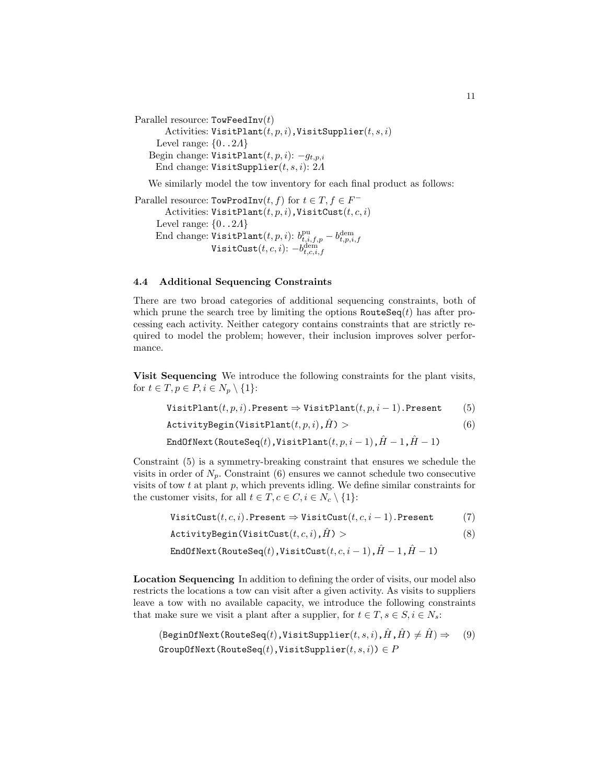```
Parallel resource: TowFeedInv(t)Activities: VisitPlant(t, p, i), VisitSupplier(t, s, i)Level range: \{0..2\Lambda\}Begin change: VisitPlant(t, p, i): -g_{t, p, i}End change: VisitSupplier(t, s, i): 2\Lambda
```
We similarly model the tow inventory for each final product as follows:

```
Parallel resource: \texttt{TowProduct}(t, f) for t \in T, f \in F^-Activities: \texttt{VisitPlant}(t, p, i), \texttt{VisitCust}(t, c, i)Level range: \{0..2\Lambda\}End change: \text{VisitPlant}(t, p, i): b_{t, i, f, p}^{\text{pu}} - b_{t, p, i, f}^{\text{dem}}<br>VisitCust(t, c, i): -b_{t, c, i, f}^{\text{hom}}
```
#### 4.4 Additional Sequencing Constraints

There are two broad categories of additional sequencing constraints, both of which prune the search tree by limiting the options  $\text{RouteSeq}(t)$  has after processing each activity. Neither category contains constraints that are strictly required to model the problem; however, their inclusion improves solver performance.

Visit Sequencing We introduce the following constraints for the plant visits, for  $t \in T, p \in P, i \in N_p \setminus \{1\}$ :

$$
VisitPlant(t, p, i). Present \Rightarrow VisitPlant(t, p, i - 1). Present (5)
$$
\n
$$
ActivityBegin(VisitPlant(t, p, i), \hat{H}) > (6)
$$
\n
$$
EndOfNext(RouteSeq(t), VisitPlant(t, p, i - 1), \hat{H} - 1, \hat{H} - 1)
$$

Constraint (5) is a symmetry-breaking constraint that ensures we schedule the visits in order of  $N_p$ . Constraint (6) ensures we cannot schedule two consecutive visits of tow  $t$  at plant  $p$ , which prevents idling. We define similar constraints for the customer visits, for all  $t \in T, c \in C, i \in N_c \setminus \{1\}$ :

$$
VisitCust(t, c, i). Present \Rightarrow VisitCust(t, c, i - 1). Present \qquad (7)
$$
\n
$$
ActivityBegin(VisitCust(t, c, i), \hat{H}) > \qquad (8)
$$
\n
$$
EndOfNext(RouteSeq(t), VisitCust(t, c, i - 1), \hat{H} - 1, \hat{H} - 1)
$$

Location Sequencing In addition to defining the order of visits, our model also restricts the locations a tow can visit after a given activity. As visits to suppliers leave a tow with no available capacity, we introduce the following constraints that make sure we visit a plant after a supplier, for  $t \in T$ ,  $s \in S$ ,  $i \in N_s$ :

$$
(\texttt{BeginOfNext}(\texttt{RouteSeq}(t),\texttt{VisitSupplier}(t,s,i),\hat{H},\hat{H}) \neq \hat{H}) \Rightarrow (9) \\ \texttt{GroupOfNext}(\texttt{RouteSeq}(t),\texttt{VisitSupplier}(t,s,i)) \in P
$$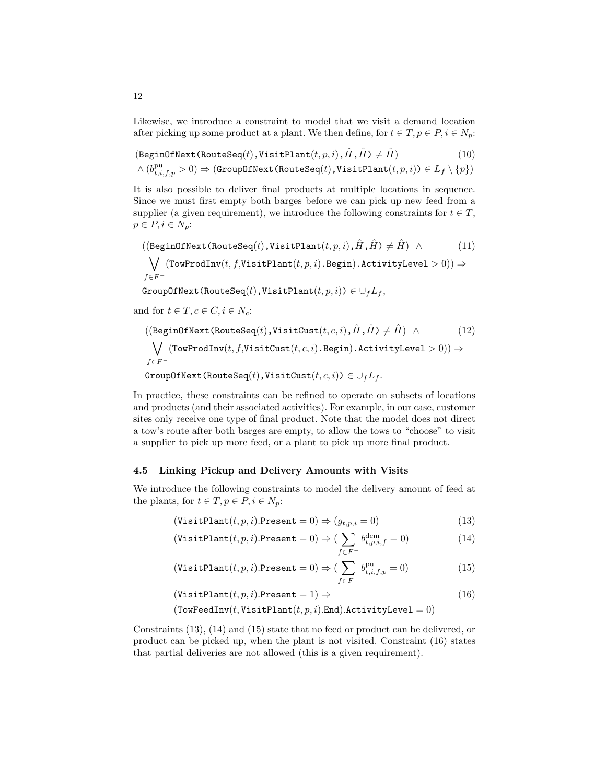Likewise, we introduce a constraint to model that we visit a demand location after picking up some product at a plant. We then define, for  $t \in T, p \in P$ ,  $i \in N_p$ :

$$
(\texttt{BeginOfNext}(\texttt{RouteSeq}(t),\texttt{VisitPlant}(t,p,i),\hat{H},\hat{H}) \neq \hat{H}) \tag{10} \\ \land (b^{\text{pu}}_{t,i,f,p} > 0) \Rightarrow (\texttt{GroupOfNext}(\texttt{RouteSeq}(t),\texttt{VisitPlant}(t,p,i)) \in L_f \setminus \{p\})
$$

It is also possible to deliver final products at multiple locations in sequence. Since we must first empty both barges before we can pick up new feed from a supplier (a given requirement), we introduce the following constraints for  $t \in T$ ,  $p \in P, i \in N_p$ :

$$
((\mathtt{BeginOfNext}~(\mathtt{RouteSeq}(t),\mathtt{VisitPlant}(t,p,i),\hat{H},\hat{H}) \neq \hat{H}) ~\wedge~~(11)
$$

 $\bigvee \ \ (\text{\tt TowProdInv}(t, f, \text{\tt VisitPlant}(t, p, i) \text{.} \text{\tt Begin}) \text{.} \ \text{\tt ActivityLevel} > 0)) \Rightarrow$  $f \in F -$ 

$$
\mathtt{GroupOfNext}(\mathtt{RooteSeq}(t),\mathtt{VisitPlant}(t,p,i)) \in \cup_f L_f,
$$

and for  $t \in T, c \in C, i \in N_c$ :

$$
((\text{BeginOfNext}(\text{RouteSeq}(t),\text{VisitCust}(t,c,i),\hat{H},\hat{H}) \neq \hat{H}) \wedge \qquad (12)
$$
\n
$$
\bigvee_{f \in F^-} (\text{TowProdInv}(t,f,\text{VisitCust}(t,c,i).\text{Begin}).\text{ActivityLevel} > 0)) \Rightarrow
$$
\n
$$
\text{GroupOfNext}(\text{RouteSeq}(t),\text{VisitCust}(t,c,i)) \in \bigcup_f L_f.
$$

In practice, these constraints can be refined to operate on subsets of locations and products (and their associated activities). For example, in our case, customer sites only receive one type of final product. Note that the model does not direct a tow's route after both barges are empty, to allow the tows to "choose" to visit a supplier to pick up more feed, or a plant to pick up more final product.

#### 4.5 Linking Pickup and Delivery Amounts with Visits

We introduce the following constraints to model the delivery amount of feed at the plants, for  $t \in T, p \in P, i \in N_p$ :

$$
(\text{VisitPlant}(t, p, i). \text{Present} = 0) \Rightarrow (g_{t, p, i} = 0)
$$
\n
$$
(13)
$$

$$
(\text{VisitPlant}(t, p, i). \text{Present} = 0) \Rightarrow (\sum_{f \in F^-} b_{t, p, i, f}^{\text{dem}} = 0)
$$
\n(14)

$$
(\text{VisitPlant}(t, p, i). \text{Present} = 0) \Rightarrow (\sum_{f \in F^-} b_{t, i, f, p}^{\text{pu}} = 0)
$$
\n
$$
(15)
$$

$$
(\mathtt{VisitPlant}(t, p, i). \mathtt{Present} = 1) \Rightarrow \tag{16}
$$

$$
(\texttt{TourFeedInv}(t, \texttt{VisitPlant}(t, p, i). \texttt{End}). \texttt{ActivityLevel} = 0)
$$

Constraints (13), (14) and (15) state that no feed or product can be delivered, or product can be picked up, when the plant is not visited. Constraint (16) states that partial deliveries are not allowed (this is a given requirement).

12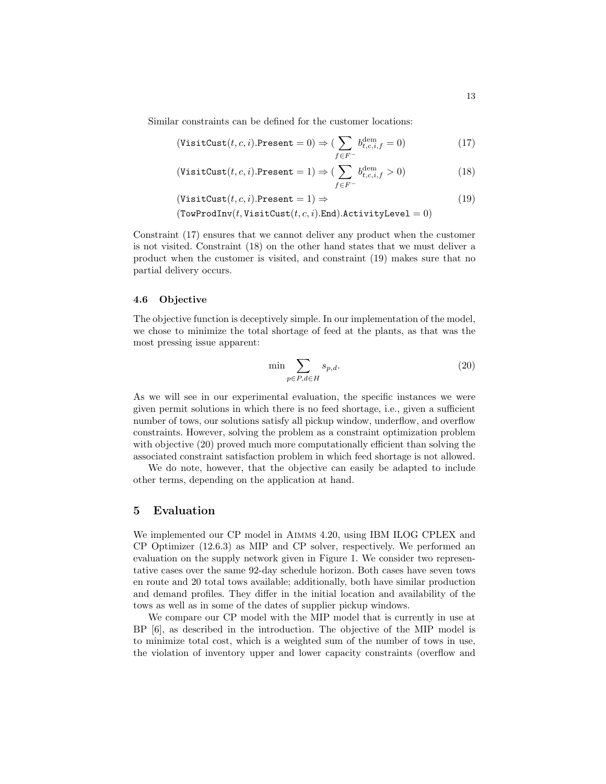Similar constraints can be defined for the customer locations:

$$
(\text{VisitCust}(t, c, i). \text{Present} = 0) \Rightarrow (\sum_{f \in F^-} b_{t, c, i, f}^{\text{dem}} = 0) \tag{17}
$$

$$
(\text{VisitCust}(t, c, i). \text{Present} = 1) \Rightarrow (\sum_{f \in F^-} b_{t, c, i, f}^{\text{dem}} > 0)
$$
\n(18)

$$
(\mathtt{VisitCust}(t, c, i). \mathtt{Present} = 1) \Rightarrow \tag{19}
$$

$$
(\texttt{TowProdInv}(t, \texttt{VisitCust}(t, c, i) . \texttt{End}). \texttt{ActivityLevel} = 0)
$$

Constraint (17) ensures that we cannot deliver any product when the customer is not visited. Constraint (18) on the other hand states that we must deliver a product when the customer is visited, and constraint (19) makes sure that no partial delivery occurs.

#### 4.6 Objective

The objective function is deceptively simple. In our implementation of the model, we chose to minimize the total shortage of feed at the plants, as that was the most pressing issue apparent:

$$
\min \sum_{p \in P, d \in H} s_{p,d}.\tag{20}
$$

As we will see in our experimental evaluation, the specific instances we were given permit solutions in which there is no feed shortage, i.e., given a sufficient number of tows, our solutions satisfy all pickup window, underflow, and overflow constraints. However, solving the problem as a constraint optimization problem with objective (20) proved much more computationally efficient than solving the associated constraint satisfaction problem in which feed shortage is not allowed.

We do note, however, that the objective can easily be adapted to include other terms, depending on the application at hand.

### 5 Evaluation

We implemented our CP model in Aimms 4.20, using IBM ILOG CPLEX and CP Optimizer (12.6.3) as MIP and CP solver, respectively. We performed an evaluation on the supply network given in Figure 1. We consider two representative cases over the same 92-day schedule horizon. Both cases have seven tows en route and 20 total tows available; additionally, both have similar production and demand profiles. They differ in the initial location and availability of the tows as well as in some of the dates of supplier pickup windows.

We compare our CP model with the MIP model that is currently in use at BP [6], as described in the introduction. The objective of the MIP model is to minimize total cost, which is a weighted sum of the number of tows in use, the violation of inventory upper and lower capacity constraints (overflow and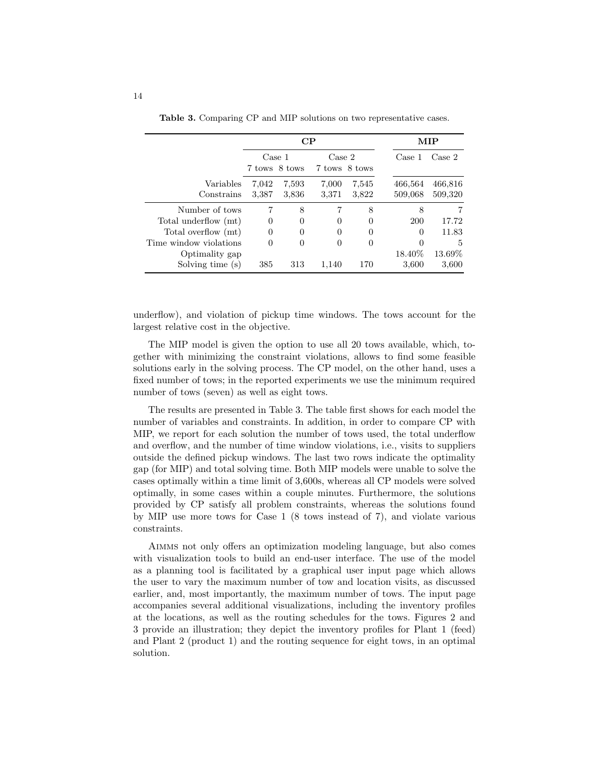|                        | $\bf CP$ |               |          |               |            | MIP     |  |
|------------------------|----------|---------------|----------|---------------|------------|---------|--|
|                        | Case 1   |               | Case 2   |               | Case 1     | Case 2  |  |
|                        |          | 7 tows 8 tows |          | 7 tows 8 tows |            |         |  |
| Variables              | 7.042    | 7,593         | 7,000    | 7,545         | 466,564    | 466,816 |  |
| Constrains             | 3,387    | 3,836         | 3,371    | 3,822         | 509,068    | 509,320 |  |
| Number of tows         |          | 8             |          | 8             | 8          |         |  |
| Total underflow (mt)   | 0        | 0             | 0        | 0             | <b>200</b> | 17.72   |  |
| Total overflow (mt)    | $\theta$ | $\Omega$      | 0        | $\theta$      | $\Omega$   | 11.83   |  |
| Time window violations | $\theta$ | $\Omega$      | $\Omega$ | 0             | $\theta$   | 5       |  |
| Optimality gap         |          |               |          |               | 18.40\%    | 13.69%  |  |
| Solving time (s)       | 385      | 313           | 1.140    | 170           | 3,600      | 3,600   |  |

Table 3. Comparing CP and MIP solutions on two representative cases.

underflow), and violation of pickup time windows. The tows account for the largest relative cost in the objective.

The MIP model is given the option to use all 20 tows available, which, together with minimizing the constraint violations, allows to find some feasible solutions early in the solving process. The CP model, on the other hand, uses a fixed number of tows; in the reported experiments we use the minimum required number of tows (seven) as well as eight tows.

The results are presented in Table 3. The table first shows for each model the number of variables and constraints. In addition, in order to compare CP with MIP, we report for each solution the number of tows used, the total underflow and overflow, and the number of time window violations, i.e., visits to suppliers outside the defined pickup windows. The last two rows indicate the optimality gap (for MIP) and total solving time. Both MIP models were unable to solve the cases optimally within a time limit of 3,600s, whereas all CP models were solved optimally, in some cases within a couple minutes. Furthermore, the solutions provided by CP satisfy all problem constraints, whereas the solutions found by MIP use more tows for Case 1 (8 tows instead of 7), and violate various constraints.

Aimms not only offers an optimization modeling language, but also comes with visualization tools to build an end-user interface. The use of the model as a planning tool is facilitated by a graphical user input page which allows the user to vary the maximum number of tow and location visits, as discussed earlier, and, most importantly, the maximum number of tows. The input page accompanies several additional visualizations, including the inventory profiles at the locations, as well as the routing schedules for the tows. Figures 2 and 3 provide an illustration; they depict the inventory profiles for Plant 1 (feed) and Plant 2 (product 1) and the routing sequence for eight tows, in an optimal solution.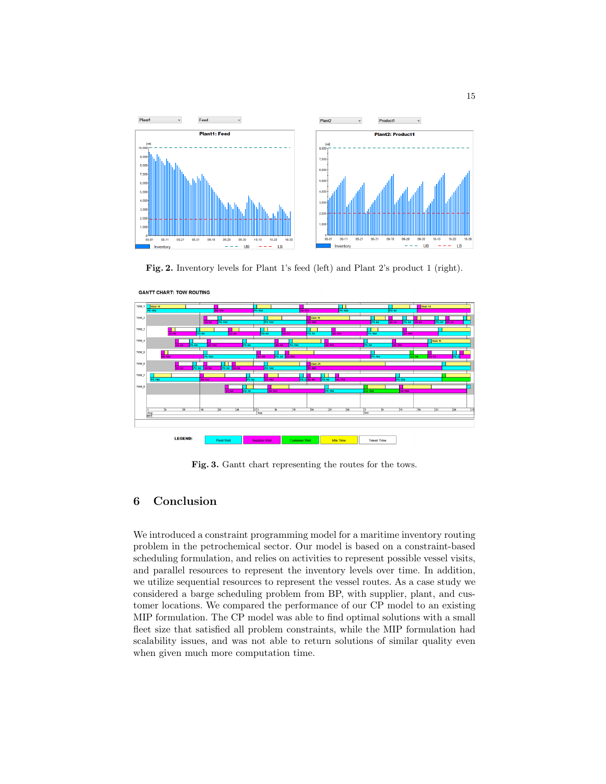

Fig. 2. Inventory levels for Plant 1's feed (left) and Plant 2's product 1 (right).



Fig. 3. Gantt chart representing the routes for the tows.

# 6 Conclusion

We introduced a constraint programming model for a maritime inventory routing problem in the petrochemical sector. Our model is based on a constraint-based scheduling formulation, and relies on activities to represent possible vessel visits, and parallel resources to represent the inventory levels over time. In addition, we utilize sequential resources to represent the vessel routes. As a case study we considered a barge scheduling problem from BP, with supplier, plant, and customer locations. We compared the performance of our CP model to an existing MIP formulation. The CP model was able to find optimal solutions with a small fleet size that satisfied all problem constraints, while the MIP formulation had scalability issues, and was not able to return solutions of similar quality even when given much more computation time.